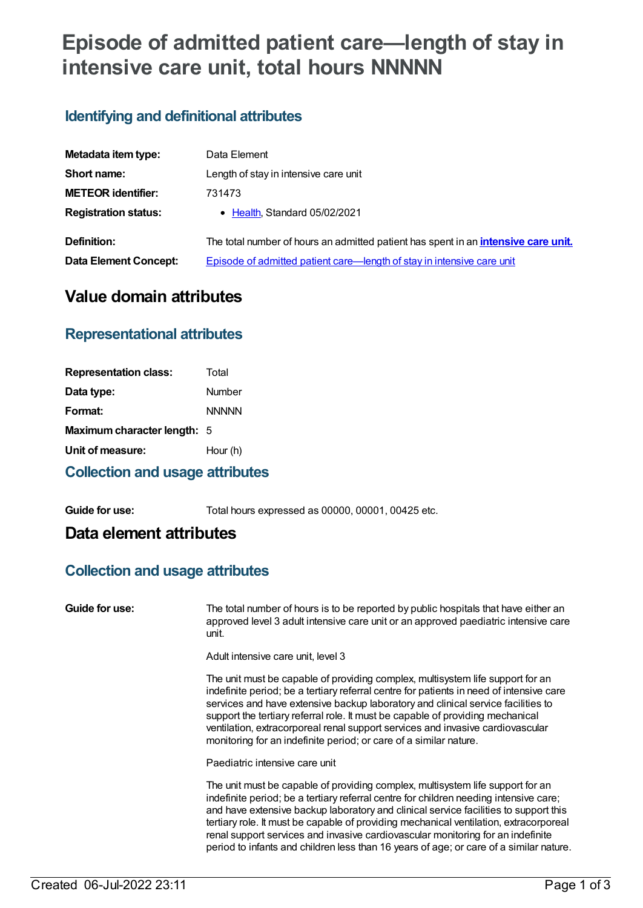# **Episode of admitted patient care—length of stay in intensive care unit, total hours NNNNN**

# **Identifying and definitional attributes**

| Metadata item type:         | Data Element                                                                              |
|-----------------------------|-------------------------------------------------------------------------------------------|
| Short name:                 | Length of stay in intensive care unit                                                     |
| <b>METEOR identifier:</b>   | 731473                                                                                    |
| <b>Registration status:</b> | • Health, Standard 05/02/2021                                                             |
| Definition:                 | The total number of hours an admitted patient has spent in an <i>intensive care unit.</i> |
| Data Element Concept:       | Episode of admitted patient care—length of stay in intensive care unit                    |

# **Value domain attributes**

## **Representational attributes**

| <b>Representation class:</b> | Total        |
|------------------------------|--------------|
| Data type:                   | Number       |
| Format:                      | <b>NNNNN</b> |
| Maximum character length: 5  |              |
| Unit of measure:             | Hour (h)     |
|                              |              |

#### **Collection and usage attributes**

**Guide for use:** Total hours expressed as 00000, 00001, 00425 etc.

## **Data element attributes**

### **Collection and usage attributes**

**Guide for use:** The total number of hours is to be reported by public hospitals that have either an approved level 3 adult intensive care unit or an approved paediatric intensive care unit.

Adult intensive care unit, level 3

The unit must be capable of providing complex, multisystem life support for an indefinite period; be a tertiary referral centre for patients in need of intensive care services and have extensive backup laboratory and clinical service facilities to support the tertiary referral role. It must be capable of providing mechanical ventilation, extracorporeal renal support services and invasive cardiovascular monitoring for an indefinite period; or care of a similar nature.

Paediatric intensive care unit

The unit must be capable of providing complex, multisystem life support for an indefinite period; be a tertiary referral centre for children needing intensive care; and have extensive backup laboratory and clinical service facilities to support this tertiary role. It must be capable of providing mechanical ventilation, extracorporeal renal support services and invasive cardiovascular monitoring for an indefinite period to infants and children less than 16 years of age; or care of a similar nature.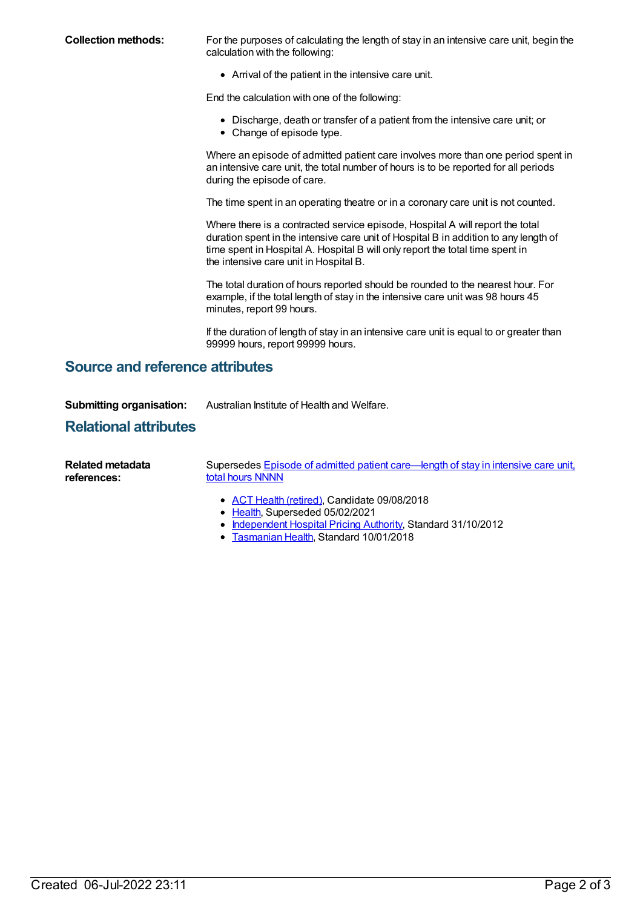**Collection methods:** For the purposes of calculating the length of stay in an intensive care unit, begin the calculation with the following:

Arrival of the patient in the intensive care unit.

End the calculation with one of the following:

- Discharge, death or transfer of a patient from the intensive care unit; or
- Change of episode type.

Where an episode of admitted patient care involves more than one period spent in an intensive care unit, the total number of hours is to be reported for all periods during the episode of care.

The time spent in an operating theatre or in a coronary care unit is not counted.

Where there is a contracted service episode, Hospital A will report the total duration spent in the intensive care unit of Hospital B in addition to any length of time spent in Hospital A. Hospital B will only report the total time spent in the intensive care unit in Hospital B.

The total duration of hours reported should be rounded to the nearest hour. For example, if the total length of stay in the intensive care unit was 98 hours 45 minutes, report 99 hours.

If the duration of length of stay in an intensive care unit is equal to or greater than 99999 hours, report 99999 hours.

#### **Source and reference attributes**

**Submitting organisation:** Australian Institute of Health and Welfare.

#### **Relational attributes**

| Related metadata | Supersedes Episode of admitted patient care—length of stay in intensive care unit, |
|------------------|------------------------------------------------------------------------------------|
| references:      | total hours NNNN                                                                   |

- ACT Health [\(retired\)](https://meteor.aihw.gov.au/RegistrationAuthority/9), Candidate 09/08/2018
- [Health](https://meteor.aihw.gov.au/RegistrationAuthority/12), Superseded 05/02/2021
- [Independent](https://meteor.aihw.gov.au/RegistrationAuthority/3) Hospital Pricing Authority, Standard 31/10/2012
- **[Tasmanian](https://meteor.aihw.gov.au/RegistrationAuthority/15) Health, Standard 10/01/2018**